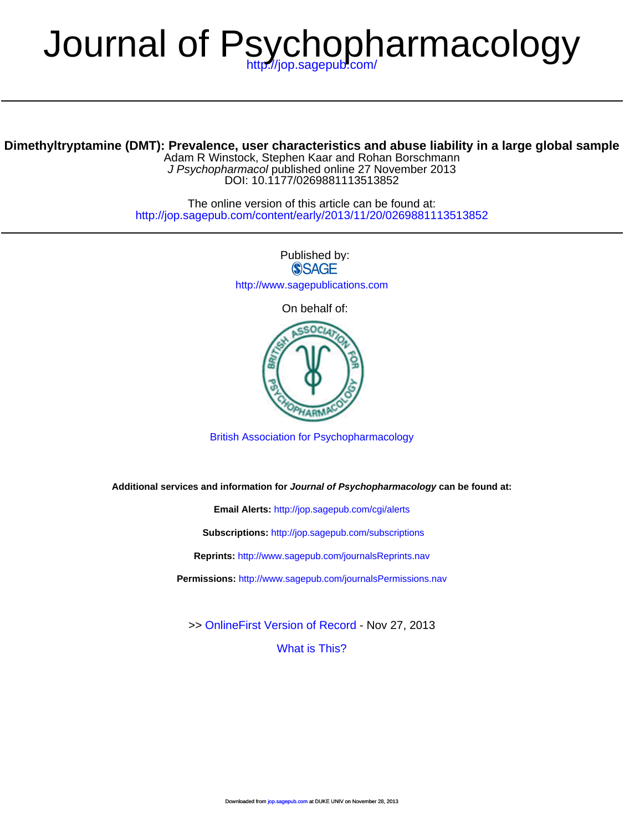# Journal o[f Psychophar](http://www.bap.org.uk/)macology

# **Dimethyltryptamine (DMT): Prevalence, user characteristics and abuse liability in a large global sample**

DOI: 10.1177/0269881113513852 J Psychopharmacol [published online 27 Novemb](http://jop.sagepub.com/cgi/alerts)er 2013 Adam R Winstock, Stephen Kaar and Rohan Borschmann

<http://jop.sagepub.com/content/early/2013/11/20/0269881113513852> The online version of this article can be found at:

> [Published by:](http://www.sagepub.com/journalsReprints.nav) **SSAGE** <http://www.sagepublications.com> [On behalf of:](http://www.sagepub.com/journalsPermissions.nav) SOCIA



[British Association for Psychopharmacology](http://www.bap.org.uk/)

**Additional services and information for Journal of Psychopharmacology can be found at:**

**Email Alerts:** <http://jop.sagepub.com/cgi/alerts>

**Subscriptions:** <http://jop.sagepub.com/subscriptions>

**Reprints:** <http://www.sagepub.com/journalsReprints.nav>

**Permissions:** <http://www.sagepub.com/journalsPermissions.nav>

[What is This?](http://online.sagepub.com/site/sphelp/vorhelp.xhtml) >> [OnlineFirst Version of Record -](http://jop.sagepub.com/content/early/2013/11/20/0269881113513852.full.pdf) Nov 27, 2013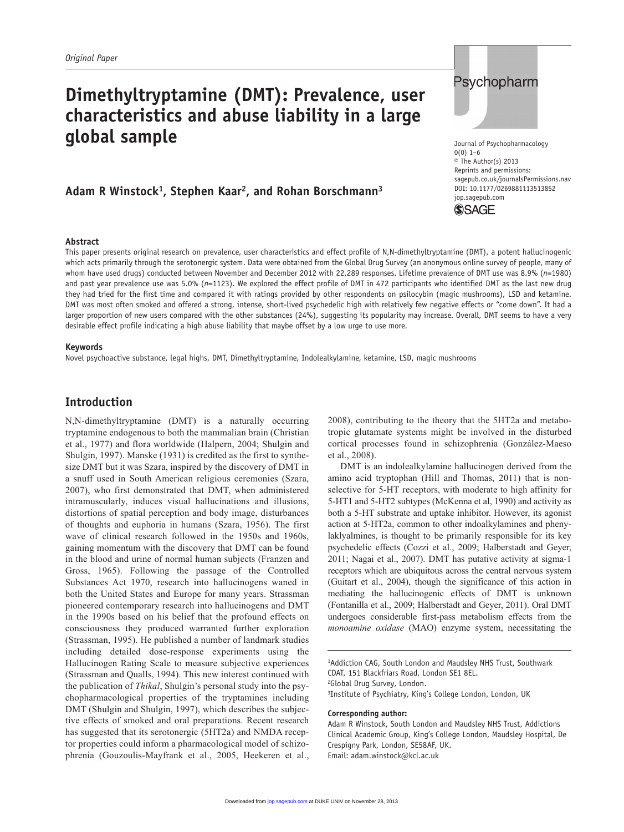# **Dimethyltryptamine (DMT): Prevalence, user characteristics and abuse liability in a large global sample**

# **Adam R Winstock1, Stephen Kaar2, and Rohan Borschmann3**



Journal of Psychopharmacology  $0(0)$  1–6 © The Author(s) 2013 Reprints and permissions: sagepub.co.uk/journalsPermissions.nav DOI: 10.1177/0269881113513852 jop.sagepub.com **SSAGE** 

#### **Abstract**

This paper presents original research on prevalence, user characteristics and effect profile of N,N-dimethyltryptamine (DMT), a potent hallucinogenic which acts primarily through the serotonergic system. Data were obtained from the Global Drug Survey (an anonymous online survey of people, many of whom have used drugs) conducted between November and December 2012 with 22,289 responses. Lifetime prevalence of DMT use was 8.9% (*n*=1980) and past year prevalence use was 5.0% (*n*=1123). We explored the effect profile of DMT in 472 participants who identified DMT as the last new drug they had tried for the first time and compared it with ratings provided by other respondents on psilocybin (magic mushrooms), LSD and ketamine. DMT was most often smoked and offered a strong, intense, short-lived psychedelic high with relatively few negative effects or "come down". It had a larger proportion of new users compared with the other substances (24%), suggesting its popularity may increase. Overall, DMT seems to have a very desirable effect profile indicating a high abuse liability that maybe offset by a low urge to use more.

#### **Keywords**

Novel psychoactive substance, legal highs, DMT, Dimethyltryptamine, Indolealkylamine, ketamine, LSD, magic mushrooms

# **Introduction**

N,N-dimethyltryptamine (DMT) is a naturally occurring tryptamine endogenous to both the mammalian brain (Christian et al., 1977) and flora worldwide (Halpern, 2004; Shulgin and Shulgin, 1997). Manske (1931) is credited as the first to synthesize DMT but it was Szara, inspired by the discovery of DMT in a snuff used in South American religious ceremonies (Szara, 2007), who first demonstrated that DMT, when administered intramuscularly, induces visual hallucinations and illusions, distortions of spatial perception and body image, disturbances of thoughts and euphoria in humans (Szara, 1956). The first wave of clinical research followed in the 1950s and 1960s, gaining momentum with the discovery that DMT can be found in the blood and urine of normal human subjects (Franzen and Gross, 1965). Following the passage of the Controlled Substances Act 1970, research into hallucinogens waned in both the United States and Europe for many years. Strassman pioneered contemporary research into hallucinogens and DMT in the 1990s based on his belief that the profound effects on consciousness they produced warranted further exploration (Strassman, 1995). He published a number of landmark studies including detailed dose-response experiments using the Hallucinogen Rating Scale to measure subjective experiences (Strassman and Qualls, 1994). This new interest continued with the publication of *Thikal*, Shulgin's personal study into the psychopharmacological properties of the tryptamines including DMT (Shulgin and Shulgin, 1997), which describes the subjective effects of smoked and oral preparations. Recent research has suggested that its serotonergic (5HT2a) and NMDA receptor properties could inform a pharmacological model of schizophrenia (Gouzoulis-Mayfrank et al., 2005, Heekeren et al., 2008), contributing to the theory that the 5HT2a and metabotropic glutamate systems might be involved in the disturbed cortical processes found in schizophrenia (González-Maeso et al., 2008).

DMT is an indolealkylamine hallucinogen derived from the amino acid tryptophan (Hill and Thomas, 2011) that is nonselective for 5-HT receptors, with moderate to high affinity for 5-HT1 and 5-HT2 subtypes (McKenna et al, 1990) and activity as both a 5-HT substrate and uptake inhibitor. However, its agonist action at 5-HT2a, common to other indoalkylamines and phenylaklyalmines, is thought to be primarily responsible for its key psychedelic effects (Cozzi et al., 2009; Halberstadt and Geyer, 2011; Nagai et al., 2007). DMT has putative activity at sigma-1 receptors which are ubiquitous across the central nervous system (Guitart et al., 2004), though the significance of this action in mediating the hallucinogenic effects of DMT is unknown (Fontanilla et al., 2009; Halberstadt and Geyer, 2011). Oral DMT undergoes considerable first-pass metabolism effects from the *monoamine oxidase* (MAO) enzyme system, necessitating the

<sup>1</sup>Addiction CAG, South London and Maudsley NHS Trust, Southwark CDAT, 151 Blackfriars Road, London SE1 8EL. 2Global Drug Survey, London. 3Institute of Psychiatry, King's College London, London, UK

#### **Corresponding author:**

Adam R Winstock, South London and Maudsley NHS Trust, Addictions Clinical Academic Group, King's College London, Maudsley Hospital, De Crespigny Park, London, SE58AF, UK. Email: adam.winstock@kcl.ac.uk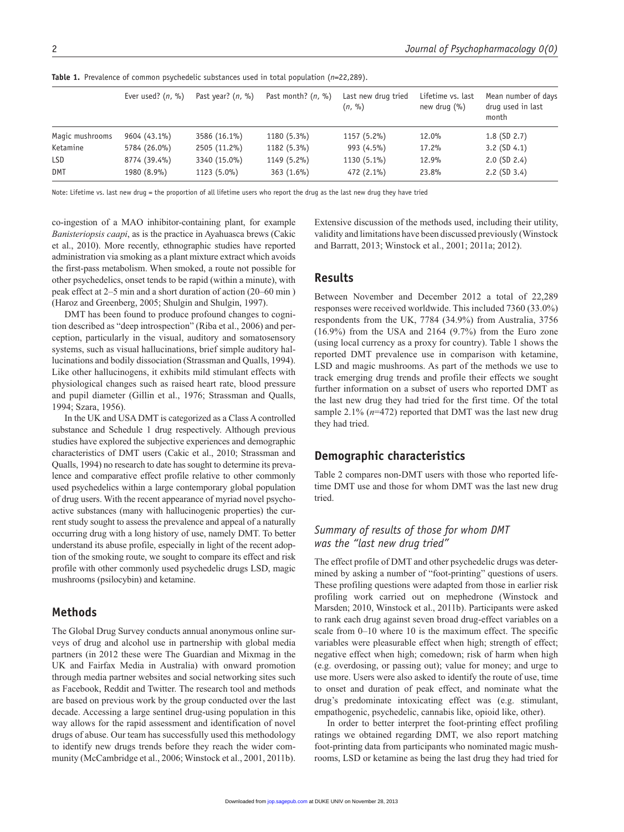|                 | Ever used? $(n, %)$ | Past year? $(n, %)$ | Past month? $(n, %)$ | Last new drug tried<br>(n, %) | Lifetime vs. last<br>new drug $(% )$ | Mean number of days<br>drug used in last<br>month |
|-----------------|---------------------|---------------------|----------------------|-------------------------------|--------------------------------------|---------------------------------------------------|
| Magic mushrooms | 9604 (43.1%)        | 3586 (16.1%)        | 1180 (5.3%)          | $1157(5.2\%)$                 | 12.0%                                | $1.8$ (SD 2.7)                                    |
| Ketamine        | 5784 (26.0%)        | 2505 (11.2%)        | 1182 (5.3%)          | 993 (4.5%)                    | 17.2%                                | $3.2$ (SD 4.1)                                    |
| LSD             | 8774 (39.4%)        | 3340 (15.0%)        | 1149 (5.2%)          | 1130 (5.1%)                   | 12.9%                                | $2.0$ (SD $2.4$ )                                 |
| <b>DMT</b>      | 1980 (8.9%)         | 1123 (5.0%)         | $363(1.6\%)$         | $472(2.1\%)$                  | 23.8%                                | $2.2$ (SD $3.4$ )                                 |

**Table 1.** Prevalence of common psychedelic substances used in total population (*n*=22,289).

Note: Lifetime vs. last new drug = the proportion of all lifetime users who report the drug as the last new drug they have tried

co-ingestion of a MAO inhibitor-containing plant, for example *Banisteriopsis caapi*, as is the practice in Ayahuasca brews (Cakic et al., 2010). More recently, ethnographic studies have reported administration via smoking as a plant mixture extract which avoids the first-pass metabolism. When smoked, a route not possible for other psychedelics, onset tends to be rapid (within a minute), with peak effect at 2–5 min and a short duration of action (20–60 min ) (Haroz and Greenberg, 2005; Shulgin and Shulgin, 1997).

DMT has been found to produce profound changes to cognition described as "deep introspection" (Riba et al., 2006) and perception, particularly in the visual, auditory and somatosensory systems, such as visual hallucinations, brief simple auditory hallucinations and bodily dissociation (Strassman and Qualls, 1994). Like other hallucinogens, it exhibits mild stimulant effects with physiological changes such as raised heart rate, blood pressure and pupil diameter (Gillin et al., 1976; Strassman and Qualls, 1994; Szara, 1956).

In the UK and USA DMT is categorized as a Class A controlled substance and Schedule 1 drug respectively. Although previous studies have explored the subjective experiences and demographic characteristics of DMT users (Cakic et al., 2010; Strassman and Qualls, 1994) no research to date has sought to determine its prevalence and comparative effect profile relative to other commonly used psychedelics within a large contemporary global population of drug users. With the recent appearance of myriad novel psychoactive substances (many with hallucinogenic properties) the current study sought to assess the prevalence and appeal of a naturally occurring drug with a long history of use, namely DMT. To better understand its abuse profile, especially in light of the recent adoption of the smoking route, we sought to compare its effect and risk profile with other commonly used psychedelic drugs LSD, magic mushrooms (psilocybin) and ketamine.

#### **Methods**

The Global Drug Survey conducts annual anonymous online surveys of drug and alcohol use in partnership with global media partners (in 2012 these were The Guardian and Mixmag in the UK and Fairfax Media in Australia) with onward promotion through media partner websites and social networking sites such as Facebook, Reddit and Twitter. The research tool and methods are based on previous work by the group conducted over the last decade. Accessing a large sentinel drug-using population in this way allows for the rapid assessment and identification of novel drugs of abuse. Our team has successfully used this methodology to identify new drugs trends before they reach the wider community (McCambridge et al., 2006; Winstock et al., 2001, 2011b). Extensive discussion of the methods used, including their utility, validity and limitations have been discussed previously (Winstock and Barratt, 2013; Winstock et al., 2001; 2011a; 2012).

## **Results**

Between November and December 2012 a total of 22,289 responses were received worldwide. This included 7360 (33.0%) respondents from the UK, 7784 (34.9%) from Australia, 3756  $(16.9\%)$  from the USA and 2164  $(9.7\%)$  from the Euro zone (using local currency as a proxy for country). Table 1 shows the reported DMT prevalence use in comparison with ketamine, LSD and magic mushrooms. As part of the methods we use to track emerging drug trends and profile their effects we sought further information on a subset of users who reported DMT as the last new drug they had tried for the first time. Of the total sample 2.1% (*n*=472) reported that DMT was the last new drug they had tried.

## **Demographic characteristics**

Table 2 compares non-DMT users with those who reported lifetime DMT use and those for whom DMT was the last new drug tried.

# *Summary of results of those for whom DMT was the "last new drug tried"*

The effect profile of DMT and other psychedelic drugs was determined by asking a number of "foot-printing" questions of users. These profiling questions were adapted from those in earlier risk profiling work carried out on mephedrone (Winstock and Marsden; 2010, Winstock et al., 2011b). Participants were asked to rank each drug against seven broad drug-effect variables on a scale from 0–10 where 10 is the maximum effect. The specific variables were pleasurable effect when high; strength of effect; negative effect when high; comedown; risk of harm when high (e.g. overdosing, or passing out); value for money; and urge to use more. Users were also asked to identify the route of use, time to onset and duration of peak effect, and nominate what the drug's predominate intoxicating effect was (e.g. stimulant, empathogenic, psychedelic, cannabis like, opioid like, other).

In order to better interpret the foot-printing effect profiling ratings we obtained regarding DMT, we also report matching foot-printing data from participants who nominated magic mushrooms, LSD or ketamine as being the last drug they had tried for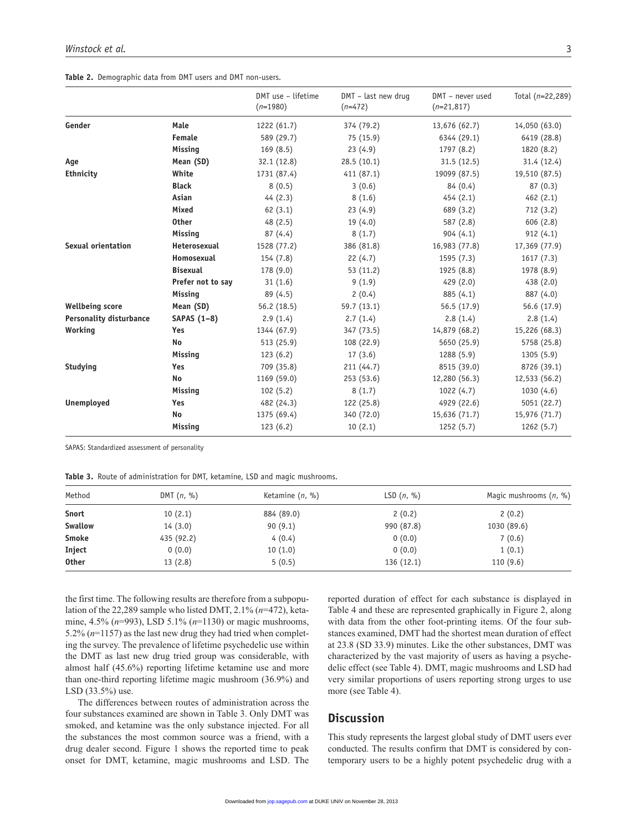|                                |                   | DMT use - lifetime<br>$(n=1980)$ | DMT - last new drug<br>$(n=472)$ | DMT - never used<br>$(n=21,817)$ | Total $(n=22, 289)$ |
|--------------------------------|-------------------|----------------------------------|----------------------------------|----------------------------------|---------------------|
| Gender                         | Male              | 1222 (61.7)                      | 374 (79.2)                       | 13,676 (62.7)                    | 14,050 (63.0)       |
|                                | Female            | 589 (29.7)                       | 75 (15.9)                        | 6344 (29.1)                      | 6419 (28.8)         |
|                                | Missing           | 169(8.5)                         | 23(4.9)                          | 1797 (8.2)                       | 1820 (8.2)          |
| Age                            | Mean (SD)         | 32.1 (12.8)                      | 28.5(10.1)                       | 31.5(12.5)                       | 31.4 (12.4)         |
| <b>Ethnicity</b>               | White             | 1731 (87.4)                      | 411 (87.1)                       | 19099 (87.5)                     | 19,510 (87.5)       |
|                                | <b>Black</b>      | 8(0.5)                           | 3(0.6)                           | 84(0.4)                          | 87(0.3)             |
|                                | Asian             | 44(2.3)                          | 8(1.6)                           | 454(2.1)                         | 462(2.1)            |
|                                | Mixed             | 62(3.1)                          | 23(4.9)                          | 689 (3.2)                        | 712(3.2)            |
|                                | <b>Other</b>      | 48 (2.5)                         | 19(4.0)                          | 587 (2.8)                        | 606(2.8)            |
|                                | <b>Missing</b>    | 87(4.4)                          | 8(1.7)                           | 904(4.1)                         | 912(4.1)            |
| Sexual orientation             | Heterosexual      | 1528 (77.2)                      | 386 (81.8)                       | 16,983 (77.8)                    | 17,369 (77.9)       |
|                                | Homosexual        | 154 (7.8)                        | 22(4.7)                          | 1595(7.3)                        | 1617(7.3)           |
|                                | <b>Bisexual</b>   | 178 (9.0)                        | 53 (11.2)                        | 1925 (8.8)                       | 1978 (8.9)          |
|                                | Prefer not to say | 31(1.6)                          | 9(1.9)                           | 429 (2.0)                        | 438 (2.0)           |
|                                | Missing           | 89 (4.5)                         | 2(0.4)                           | 885 (4.1)                        | 887 (4.0)           |
| <b>Wellbeing score</b>         | Mean (SD)         | 56.2(18.5)                       | 59.7 (13.1)                      | 56.5 (17.9)                      | 56.6 (17.9)         |
| <b>Personality disturbance</b> | SAPAS $(1-8)$     | 2.9(1.4)                         | 2.7(1.4)                         | 2.8(1.4)                         | 2.8(1.4)            |
| Working                        | Yes               | 1344 (67.9)                      | 347 (73.5)                       | 14,879 (68.2)                    | 15,226 (68.3)       |
|                                | No                | 513 (25.9)                       | 108 (22.9)                       | 5650 (25.9)                      | 5758 (25.8)         |
|                                | Missing           | 123(6.2)                         | 17(3.6)                          | 1288 (5.9)                       | 1305(5.9)           |
| Studying                       | Yes               | 709 (35.8)                       | 211(44.7)                        | 8515 (39.0)                      | 8726 (39.1)         |
|                                | No                | 1169 (59.0)                      | 253(53.6)                        | 12,280 (56.3)                    | 12,533 (56.2)       |
|                                | <b>Missing</b>    | 102(5.2)                         | 8(1.7)                           | 1022(4.7)                        | 1030(4.6)           |
| <b>Unemployed</b>              | Yes               | 482 (24.3)                       | 122 (25.8)                       | 4929 (22.6)                      | 5051 (22.7)         |
|                                | No                | 1375 (69.4)                      | 340 (72.0)                       | 15,636 (71.7)                    | 15,976 (71.7)       |
|                                | Missing           | 123(6.2)                         | 10(2.1)                          | 1252(5.7)                        | 1262 (5.7)          |

SAPAS: Standardized assessment of personality

|  | Table 3. Route of administration for DMT, ketamine, LSD and magic mushrooms. |
|--|------------------------------------------------------------------------------|
|--|------------------------------------------------------------------------------|

| Method         | DMT $(n, %)$ | Ketamine $(n, %)$ | LSD $(n, %)$ | Magic mushrooms $(n, %)$ |
|----------------|--------------|-------------------|--------------|--------------------------|
| Snort          | 10(2.1)      | 884 (89.0)        | 2(0.2)       | 2(0.2)                   |
| <b>Swallow</b> | 14(3.0)      | 90(9.1)           | 990 (87.8)   | 1030 (89.6)              |
| <b>Smoke</b>   | 435 (92.2)   | 4(0.4)            | 0(0.0)       | 7(0.6)                   |
| Inject         | 0(0.0)       | 10(1.0)           | 0(0.0)       | 1(0.1)                   |
| <b>Other</b>   | 13(2.8)      | 5(0.5)            | 136 (12.1)   | 110(9.6)                 |

the first time. The following results are therefore from a subpopulation of the 22,289 sample who listed DMT, 2.1% (*n*=472), ketamine, 4.5% (*n*=993), LSD 5.1% (*n*=1130) or magic mushrooms, 5.2% (*n*=1157) as the last new drug they had tried when completing the survey. The prevalence of lifetime psychedelic use within the DMT as last new drug tried group was considerable, with almost half (45.6%) reporting lifetime ketamine use and more than one-third reporting lifetime magic mushroom (36.9%) and LSD (33.5%) use.

The differences between routes of administration across the four substances examined are shown in Table 3. Only DMT was smoked, and ketamine was the only substance injected. For all the substances the most common source was a friend, with a drug dealer second. Figure 1 shows the reported time to peak onset for DMT, ketamine, magic mushrooms and LSD. The

reported duration of effect for each substance is displayed in Table 4 and these are represented graphically in Figure 2, along with data from the other foot-printing items. Of the four substances examined, DMT had the shortest mean duration of effect at 23.8 (SD 33.9) minutes. Like the other substances, DMT was characterized by the vast majority of users as having a psychedelic effect (see Table 4). DMT, magic mushrooms and LSD had very similar proportions of users reporting strong urges to use more (see Table 4).

## **Discussion**

This study represents the largest global study of DMT users ever conducted. The results confirm that DMT is considered by conte[mporary user](http://jop.sagepub.com/)s to be a highly potent psychedelic drug with a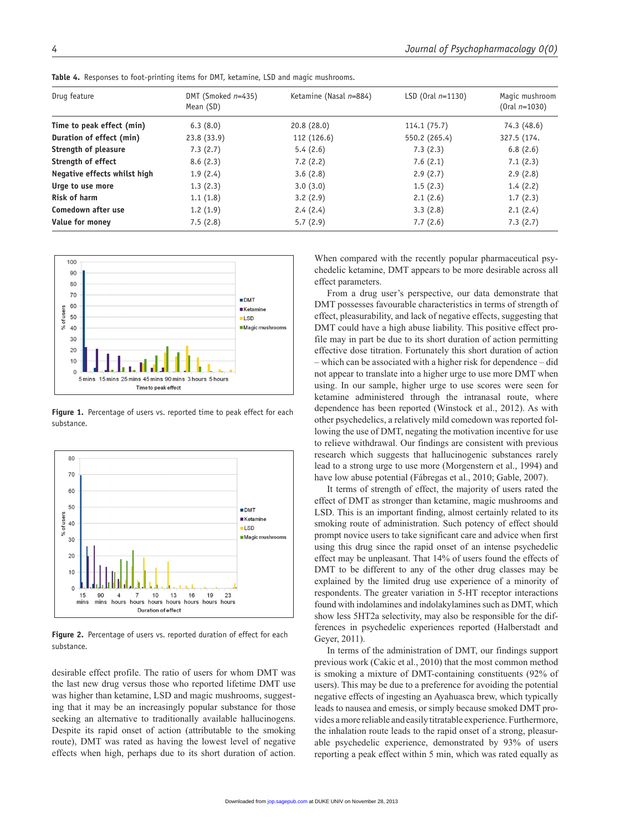| Drug feature                 | DMT (Smoked $n=435$ )<br>Mean (SD) | Ketamine (Nasal $n=884$ ) | LSD (Oral $n=1130$ ) | Magic mushroom<br>(Oral n=1030) |
|------------------------------|------------------------------------|---------------------------|----------------------|---------------------------------|
| Time to peak effect (min)    | 6.3(8.0)                           | 20.8(28.0)                | 114.1(75.7)          | 74.3 (48.6)                     |
| Duration of effect (min)     | 23.8 (33.9)                        | 112 (126.6)               | 550.2 (265.4)        | 327.5 (174.                     |
| <b>Strength of pleasure</b>  | 7.3(2.7)                           | 5.4(2.6)                  | 7.3(2.3)             | 6.8(2.6)                        |
| Strength of effect           | 8.6(2.3)                           | 7.2(2.2)                  | 7.6(2.1)             | 7.1(2.3)                        |
| Negative effects whilst high | 1.9(2.4)                           | 3.6(2.8)                  | 2.9(2.7)             | 2.9(2.8)                        |
| Urge to use more             | 1.3(2.3)                           | 3.0(3.0)                  | 1.5(2.3)             | 1.4(2.2)                        |
| Risk of harm                 | 1.1(1.8)                           | 3.2(2.9)                  | 2.1(2.6)             | 1.7(2.3)                        |
| Comedown after use           | 1.2(1.9)                           | 2.4(2.4)                  | 3.3(2.8)             | 2.1(2.4)                        |
| Value for money              | 7.5(2.8)                           | 5.7(2.9)                  | 7.7(2.6)             | 7.3(2.7)                        |

**Table 4.** Responses to foot-printing items for DMT, ketamine, LSD and magic mushrooms.



Figure 1. Percentage of users vs. reported time to peak effect for each substance.



**Figure 2.** Percentage of users vs. reported duration of effect for each substance.

desirable effect profile. The ratio of users for whom DMT was the last new drug versus those who reported lifetime DMT use was higher than ketamine, LSD and magic mushrooms, suggesting that it may be an increasingly popular substance for those seeking an alternative to traditionally available hallucinogens. Despite its rapid onset of action (attributable to the smoking route), DMT was rated as having the lowest level of negative effects when high, perhaps due to its short duration of action.

When compared with the recently popular pharmaceutical psychedelic ketamine, DMT appears to be more desirable across all effect parameters.

From a drug user's perspective, our data demonstrate that DMT possesses favourable characteristics in terms of strength of effect, pleasurability, and lack of negative effects, suggesting that DMT could have a high abuse liability. This positive effect profile may in part be due to its short duration of action permitting effective dose titration. Fortunately this short duration of action – which can be associated with a higher risk for dependence – did not appear to translate into a higher urge to use more DMT when using. In our sample, higher urge to use scores were seen for ketamine administered through the intranasal route, where dependence has been reported (Winstock et al., 2012). As with other psychedelics, a relatively mild comedown was reported following the use of DMT, negating the motivation incentive for use to relieve withdrawal. Our findings are consistent with previous research which suggests that hallucinogenic substances rarely lead to a strong urge to use more (Morgenstern et al., 1994) and have low abuse potential (Fábregas et al., 2010; Gable, 2007).

It terms of strength of effect, the majority of users rated the effect of DMT as stronger than ketamine, magic mushrooms and LSD. This is an important finding, almost certainly related to its smoking route of administration. Such potency of effect should prompt novice users to take significant care and advice when first using this drug since the rapid onset of an intense psychedelic effect may be unpleasant. That 14% of users found the effects of DMT to be different to any of the other drug classes may be explained by the limited drug use experience of a minority of respondents. The greater variation in 5-HT receptor interactions found with indolamines and indolakylamines such as DMT, which show less 5HT2a selectivity, may also be responsible for the differences in psychedelic experiences reported (Halberstadt and Geyer, 2011).

In terms of the administration of DMT, our findings support previous work (Cakic et al., 2010) that the most common method is smoking a mixture of DMT-containing constituents (92% of users). This may be due to a preference for avoiding the potential negative effects of ingesting an Ayahuasca brew, which typically leads to nausea and emesis, or simply because smoked DMT provides a more reliable and easily titratable experience. Furthermore, the inhalation route leads to the rapid onset of a strong, pleasurable psychedelic experience, demonstrated by 93% of users reporting a peak effect within 5 min, which was rated equally as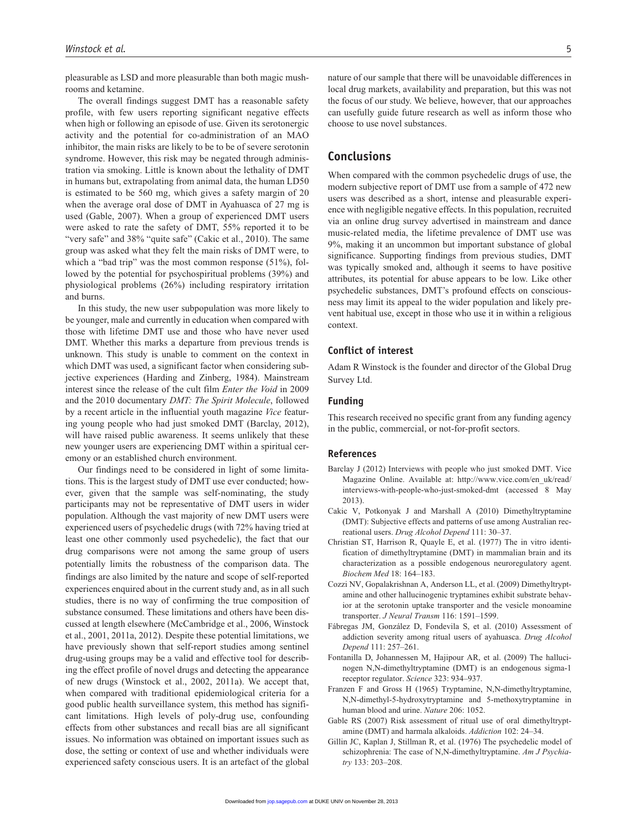pleasurable as LSD and more pleasurable than both magic mushrooms and ketamine.

The overall findings suggest DMT has a reasonable safety profile, with few users reporting significant negative effects when high or following an episode of use. Given its serotonergic activity and the potential for co-administration of an MAO inhibitor, the main risks are likely to be to be of severe serotonin syndrome. However, this risk may be negated through administration via smoking. Little is known about the lethality of DMT in humans but, extrapolating from animal data, the human LD50 is estimated to be 560 mg, which gives a safety margin of 20 when the average oral dose of DMT in Ayahuasca of 27 mg is used (Gable, 2007). When a group of experienced DMT users were asked to rate the safety of DMT, 55% reported it to be "very safe" and 38% "quite safe" (Cakic et al., 2010). The same group was asked what they felt the main risks of DMT were, to which a "bad trip" was the most common response (51%), followed by the potential for psychospiritual problems (39%) and physiological problems (26%) including respiratory irritation and burns.

In this study, the new user subpopulation was more likely to be younger, male and currently in education when compared with those with lifetime DMT use and those who have never used DMT. Whether this marks a departure from previous trends is unknown. This study is unable to comment on the context in which DMT was used, a significant factor when considering subjective experiences (Harding and Zinberg, 1984). Mainstream interest since the release of the cult film *Enter the Void* in 2009 and the 2010 documentary *DMT: The Spirit Molecule*, followed by a recent article in the influential youth magazine *Vice* featuring young people who had just smoked DMT (Barclay, 2012), will have raised public awareness. It seems unlikely that these new younger users are experiencing DMT within a spiritual ceremony or an established church environment.

Our findings need to be considered in light of some limitations. This is the largest study of DMT use ever conducted; however, given that the sample was self-nominating, the study participants may not be representative of DMT users in wider population. Although the vast majority of new DMT users were experienced users of psychedelic drugs (with 72% having tried at least one other commonly used psychedelic), the fact that our drug comparisons were not among the same group of users potentially limits the robustness of the comparison data. The findings are also limited by the nature and scope of self-reported experiences enquired about in the current study and, as in all such studies, there is no way of confirming the true composition of substance consumed. These limitations and others have been discussed at length elsewhere (McCambridge et al., 2006, Winstock et al., 2001, 2011a, 2012). Despite these potential limitations, we have previously shown that self-report studies among sentinel drug-using groups may be a valid and effective tool for describing the effect profile of novel drugs and detecting the appearance of new drugs (Winstock et al., 2002, 2011a). We accept that, when compared with traditional epidemiological criteria for a good public health surveillance system, this method has significant limitations. High levels of poly-drug use, confounding effects from other substances and recall bias are all significant issues. No information was obtained on important issues such as dose, the setting or context of use and whether individuals were experienced safety conscious users. It is an artefact of the global nature of our sample that there will be unavoidable differences in local drug markets, availability and preparation, but this was not the focus of our study. We believe, however, that our approaches can usefully guide future research as well as inform those who choose to use novel substances.

#### **Conclusions**

When compared with the common psychedelic drugs of use, the modern subjective report of DMT use from a sample of 472 new users was described as a short, intense and pleasurable experience with negligible negative effects. In this population, recruited via an online drug survey advertised in mainstream and dance music-related media, the lifetime prevalence of DMT use was 9%, making it an uncommon but important substance of global significance. Supporting findings from previous studies, DMT was typically smoked and, although it seems to have positive attributes, its potential for abuse appears to be low. Like other psychedelic substances, DMT's profound effects on consciousness may limit its appeal to the wider population and likely prevent habitual use, except in those who use it in within a religious context.

#### **Conflict of interest**

Adam R Winstock is the founder and director of the Global Drug Survey Ltd.

#### **Funding**

This research received no specific grant from any funding agency in the public, commercial, or not-for-profit sectors.

#### **References**

- Barclay J (2012) Interviews with people who just smoked DMT. Vice Magazine Online. Available at: http://www.vice.com/en\_uk/read/ interviews-with-people-who-just-smoked-dmt (accessed 8 May 2013).
- Cakic V, Potkonyak J and Marshall A (2010) Dimethyltryptamine (DMT): Subjective effects and patterns of use among Australian recreational users. *Drug Alcohol Depend* 111: 30–37.
- Christian ST, Harrison R, Quayle E, et al. (1977) The in vitro identification of dimethyltryptamine (DMT) in mammalian brain and its characterization as a possible endogenous neuroregulatory agent. *Biochem Med* 18: 164–183.
- Cozzi NV, Gopalakrishnan A, Anderson LL, et al. (2009) Dimethyltryptamine and other hallucinogenic tryptamines exhibit substrate behavior at the serotonin uptake transporter and the vesicle monoamine transporter. *J Neural Transm* 116: 1591–1599.
- Fábregas JM, González D, Fondevila S, et al. (2010) Assessment of addiction severity among ritual users of ayahuasca. *Drug Alcohol Depend* 111: 257–261.
- Fontanilla D, Johannessen M, Hajipour AR, et al. (2009) The hallucinogen N,N-dimethyltryptamine (DMT) is an endogenous sigma-1 receptor regulator. *Science* 323: 934–937.
- Franzen F and Gross H (1965) Tryptamine, N,N-dimethyltryptamine, N,N-dimethyl-5-hydroxytryptamine and 5-methoxytryptamine in human blood and urine. *Nature* 206: 1052.
- Gable RS (2007) Risk assessment of ritual use of oral dimethyltryptamine (DMT) and harmala alkaloids. *Addiction* 102: 24–34.
- Gillin JC, Kaplan J, Stillman R, et al. (1976) The psychedelic model of schizophrenia: The case of N,N-dimethyltryptamine. *Am J Psychiatry* [133: 203–](http://jop.sagepub.com/)208.